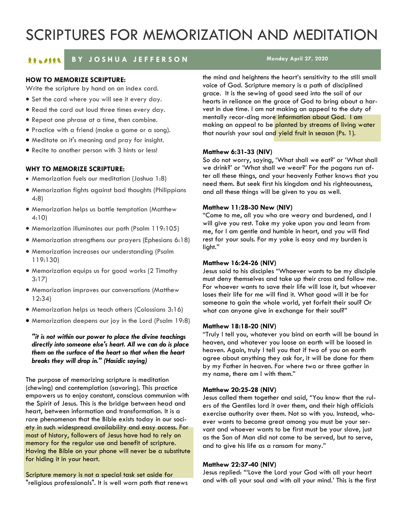# SCRIPTURES FOR MEMORIZATION AND MEDITATION

#### **B Y J O S H U A J E F F E R S O N Monday April 27, 2020** 111111

### **HOW TO MEMORIZE SCRIPTURE:**

Write the scripture by hand on an index card.

- Set the card where you will see it every day.
- Read the card out loud three times every day.
- Repeat one phrase at a time, then combine.
- Practice with a friend (make a game or a song).
- Meditate on it's meaning and pray for insight.
- Recite to another person with 3 hints or less!

### **WHY TO MEMORIZE SCRIPTURE:**

- Memorization fuels our meditation (Joshua 1:8)
- Memorization fights against bad thoughts (Philippians 4:8)
- Memorization helps us battle temptation (Matthew 4:10)
- Memorization illuminates our path (Psalm 119:105)
- Memorization strengthens our prayers (Ephesians 6:18)
- Memorization increases our understanding (Psalm 119:130)
- Memorization equips us for good works (2 Timothy 3:17)
- Memorization improves our conversations (Matthew 12:34)
- Memorization helps us teach others (Colossians 3:16)
- Memorization deepens our joy in the Lord (Psalm 19:8)

*"it is not within our power to place the divine teachings directly into someone else's heart. All we can do is place them on the surface of the heart so that when the heart breaks they will drop in." (Hasidic saying)*

The purpose of memorizing scripture is meditation (chewing) and contemplation (savoring). This practice empowers us to enjoy constant, conscious communion with the Spirit of Jesus. This is the bridge between head and heart, between information and transformation. It is a rare phenomenon that the Bible exists today in our society in such widespread availability and easy access. For most of history, followers of Jesus have had to rely on memory for the regular use and benefit of scripture. Having the Bible on your phone will never be a substitute for hiding it in your heart.

Scripture memory is not a special task set aside for "religious professionals". It is well worn path that renews

the mind and heightens the heart's sensitivity to the still small voice of God. Scripture memory is a path of disciplined grace. It is the sewing of good seed into the soil of our hearts in reliance on the grace of God to bring about a harvest in due time. I am not making an appeal to the duty of mentally recor-ding more information about God. I am making an appeal to be planted by streams of living water that nourish your soul and yield fruit in season (Ps. 1).

#### **Matthew 6:31-33 (NIV)**

So do not worry, saying, 'What shall we eat?' or 'What shall we drink?' or 'What shall we wear?' For the pagans run after all these things, and your heavenly Father knows that you need them. But seek first his kingdom and his righteousness, and all these things will be given to you as well.

#### **Matthew 11:28-30 New (NIV)**

"Come to me, all you who are weary and burdened, and I will give you rest. Take my yoke upon you and learn from me, for I am gentle and humble in heart, and you will find rest for your souls. For my yoke is easy and my burden is light."

#### **Matthew 16:24-26 (NIV)**

Jesus said to his disciples "Whoever wants to be my disciple must deny themselves and take up their cross and follow me. For whoever wants to save their life will lose it, but whoever loses their life for me will find it. What good will it be for someone to gain the whole world, yet forfeit their soul? Or what can anyone give in exchange for their soul?"

#### **Matthew 18:18-20 (NIV)**

"Truly I tell you, whatever you bind on earth will be bound in heaven, and whatever you loose on earth will be loosed in heaven. Again, truly I tell you that if two of you on earth agree about anything they ask for, it will be done for them by my Father in heaven. For where two or three gather in my name, there am I with them."

#### **Matthew 20:25-28 (NIV)**

Jesus called them together and said, "You know that the rulers of the Gentiles lord it over them, and their high officials exercise authority over them. Not so with you. Instead, whoever wants to become great among you must be your servant and whoever wants to be first must be your slave, just as the Son of Man did not come to be served, but to serve, and to give his life as a ransom for many."

#### **Matthew 22:37-40 (NIV)**

Jesus replied: "'Love the Lord your God with all your heart and with all your soul and with all your mind.' This is the first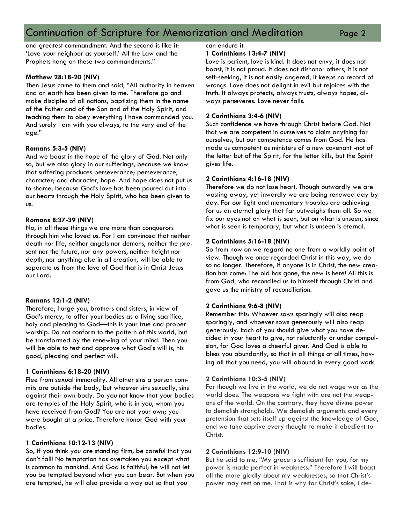# Continuation of Scripture for Memorization and Meditation Page 2

and greatest commandment. And the second is like it: 'Love your neighbor as yourself.' All the Law and the Prophets hang on these two commandments."

#### **Matthew 28:18-20 (NIV)**

Then Jesus came to them and said, "All authority in heaven and on earth has been given to me. Therefore go and make disciples of all nations, baptizing them in the name of the Father and of the Son and of the Holy Spirit, and teaching them to obey everything I have commanded you. And surely I am with you always, to the very end of the age."

#### **Romans 5:3-5 (NIV)**

And we boast in the hope of the glory of God. Not only so, but we also glory in our sufferings, because we know that suffering produces perseverance; perseverance, character; and character, hope. And hope does not put us to shame, because God's love has been poured out into our hearts through the Holy Spirit, who has been given to us.

#### **Romans 8:37-39 (NIV)**

No, in all these things we are more than conquerors through him who loved us. For I am convinced that neither death nor life, neither angels nor demons, neither the present nor the future, nor any powers, neither height nor depth, nor anything else in all creation, will be able to separate us from the love of God that is in Christ Jesus our Lord.

#### **Romans 12:1-2 (NIV)**

Therefore, I urge you, brothers and sisters, in view of God's mercy, to offer your bodies as a living sacrifice, holy and pleasing to God—this is your true and proper worship. Do not conform to the pattern of this world, but be transformed by the renewing of your mind. Then you will be able to test and approve what God's will is, his good, pleasing and perfect will.

#### **1 Corinthians 6:18-20 (NIV)**

Flee from sexual immorality. All other sins a person commits are outside the body, but whoever sins sexually, sins against their own body. Do you not know that your bodies are temples of the Holy Spirit, who is in you, whom you have received from God? You are not your own; you were bought at a price. Therefore honor God with your bodies.

#### **1 Corinthians 10:12-13 (NIV)**

So, if you think you are standing firm, be careful that you don't fall! No temptation has overtaken you except what is common to mankind. And God is faithful; he will not let you be tempted beyond what you can bear. But when you are tempted, he will also provide a way out so that you

can endure it.

#### **1 Corinthians 13:4-7 (NIV)**

Love is patient, love is kind. It does not envy, it does not boast, it is not proud. It does not dishonor others, it is not self-seeking, it is not easily angered, it keeps no record of wrongs. Love does not delight in evil but rejoices with the truth. It always protects, always trusts, always hopes, always perseveres. Love never fails.

#### **2 Corinthians 3:4-6 (NIV)**

Such confidence we have through Christ before God. Not that we are competent in ourselves to claim anything for ourselves, but our competence comes from God. He has made us competent as ministers of a new covenant -not of the letter but of the Spirit; for the letter kills, but the Spirit gives life.

#### **2 Corinthians 4:16-18 (NIV)**

Therefore we do not lose heart. Though outwardly we are wasting away, yet inwardly we are being renewed day by day. For our light and momentary troubles are achieving for us an eternal glory that far outweighs them all. So we fix our eyes not on what is seen, but on what is unseen, since what is seen is temporary, but what is unseen is eternal.

#### **2 Corinthians 5:16-18 (NIV)**

So from now on we regard no one from a worldly point of view. Though we once regarded Christ in this way, we do so no longer. Therefore, if anyone is in Christ, the new creation has come: The old has gone, the new is here! All this is from God, who reconciled us to himself through Christ and gave us the ministry of reconciliation.

#### **2 Corinthians 9:6-8 (NIV)**

Remember this: Whoever sows sparingly will also reap sparingly, and whoever sows generously will also reap generously. Each of you should give what you have decided in your heart to give, not reluctantly or under compulsion, for God loves a cheerful giver. And God is able to bless you abundantly, so that in all things at all times, having all that you need, you will abound in every good work.

#### **2 Corinthians 10:3-5 (NIV)**

For though we live in the world, we do not wage war as the world does. The weapons we fight with are not the weapons of the world. On the contrary, they have divine power to demolish strongholds. We demolish arguments and every pretension that sets itself up against the knowledge of God, and we take captive every thought to make it obedient to Christ.

#### **2 Corinthians 12:9-10 (NIV)**

But he said to me, "My grace is sufficient for you, for my power is made perfect in weakness." Therefore I will boast all the more gladly about my weaknesses, so that Christ's power may rest on me. That is why for Christ's sake, I de-